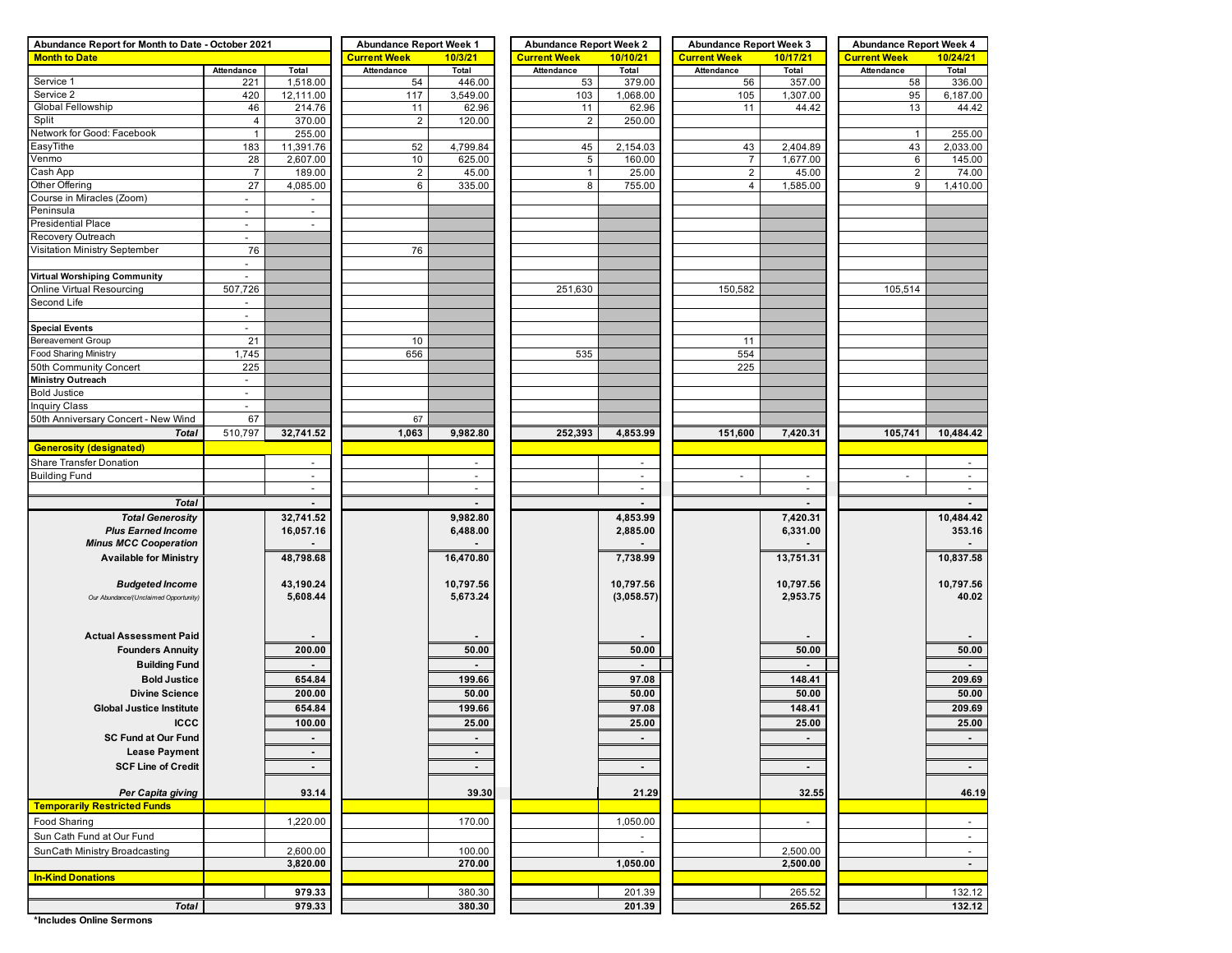| Abundance Report for Month to Date - October 2021 | <b>Abundance Report Week 1</b> |                          | <b>Abundance Report Week 2</b> |                | <b>Abundance Report Week 3</b> |                          | <b>Abundance Report Week 4</b> |                |                     |                |
|---------------------------------------------------|--------------------------------|--------------------------|--------------------------------|----------------|--------------------------------|--------------------------|--------------------------------|----------------|---------------------|----------------|
| <b>Month to Date</b>                              |                                |                          | <b>Current Week</b>            | 10/3/21        | <b>Current Week</b>            | 10/10/21                 | <b>Current Week</b>            | 10/17/21       | <b>Current Week</b> | 10/24/21       |
|                                                   | Attendance                     | Total                    | Attendance                     | Total          | Attendance                     | Total                    | Attendance                     | Total          | Attendance          | Total          |
| Service 1                                         | 221                            | 1,518.00                 | 54                             | 446.00         | 53                             | 379.00                   | 56                             | 357.00         | 58                  | 336.00         |
| Service 2                                         | 420                            | 12,111.00                | 117                            | 3,549.00       | 103                            | 1,068.00                 | 105                            | 1,307.00       | 95                  | 6,187.00       |
| Global Fellowship                                 | 46                             | 214.76                   | 11                             | 62.96          | 11                             | 62.96                    | 11                             | 44.42          | 13                  | 44.42          |
| Split                                             | 4                              | 370.00                   | $\overline{2}$                 | 120.00         | $\overline{2}$                 | 250.00                   |                                |                |                     |                |
| Network for Good: Facebook                        | $\mathbf{1}$                   | 255.00                   |                                |                |                                |                          |                                |                | $\overline{1}$      | 255.00         |
| EasyTithe                                         | 183                            | 11,391.76                | 52                             | 4,799.84       | 45                             | 2,154.03                 | 43                             | 2,404.89       | 43                  | 2,033.00       |
| Venmo                                             | 28                             | 2,607.00                 | 10                             | 625.00         | 5                              | 160.00                   | $\overline{7}$                 | 1,677.00       | 6                   | 145.00         |
| Cash App                                          | $\overline{7}$                 | 189.00                   | $\overline{2}$                 | 45.00          | $\mathbf{1}$                   | 25.00                    | $\overline{\mathbf{c}}$        | 45.00          | $\overline{2}$      | 74.00          |
| Other Offering                                    | 27                             | 4,085.00                 | 6                              | 335.00         | 8                              | 755.00                   | 4                              | 1,585.00       | 9                   | 1,410.00       |
| Course in Miracles (Zoom)                         | $\overline{\phantom{a}}$       | $\blacksquare$           |                                |                |                                |                          |                                |                |                     |                |
| Peninsula                                         | $\overline{\phantom{a}}$       | $\sim$                   |                                |                |                                |                          |                                |                |                     |                |
| <b>Presidential Place</b>                         | $\overline{\phantom{a}}$       | $\sim$                   |                                |                |                                |                          |                                |                |                     |                |
| Recovery Outreach                                 | $\blacksquare$                 |                          |                                |                |                                |                          |                                |                |                     |                |
| Visitation Ministry September                     | 76                             |                          | 76                             |                |                                |                          |                                |                |                     |                |
|                                                   | $\overline{\phantom{a}}$       |                          |                                |                |                                |                          |                                |                |                     |                |
| <b>Virtual Worshiping Community</b>               | $\overline{\phantom{a}}$       |                          |                                |                |                                |                          |                                |                |                     |                |
| Online Virtual Resourcing                         | 507,726                        |                          |                                |                | 251,630                        |                          | 150,582                        |                | 105,514             |                |
| Second Life                                       | $\blacksquare$                 |                          |                                |                |                                |                          |                                |                |                     |                |
|                                                   | $\overline{\phantom{a}}$       |                          |                                |                |                                |                          |                                |                |                     |                |
| <b>Special Events</b>                             | $\blacksquare$                 |                          |                                |                |                                |                          |                                |                |                     |                |
| <b>Bereavement Group</b>                          | 21                             |                          | 10                             |                |                                |                          | 11                             |                |                     |                |
| <b>Food Sharing Ministry</b>                      | 1,745                          |                          | 656                            |                | 535                            |                          | 554                            |                |                     |                |
| 50th Community Concert                            | 225                            |                          |                                |                |                                |                          | 225                            |                |                     |                |
| <b>Ministry Outreach</b>                          | $\overline{\phantom{a}}$       |                          |                                |                |                                |                          |                                |                |                     |                |
| <b>Bold Justice</b>                               | $\blacksquare$                 |                          |                                |                |                                |                          |                                |                |                     |                |
| <b>Inquiry Class</b>                              |                                |                          |                                |                |                                |                          |                                |                |                     |                |
| 50th Anniversary Concert - New Wind               | 67                             |                          | 67                             |                |                                |                          |                                |                |                     |                |
|                                                   | 510,797                        | 32,741.52                | 1,063                          | 9,982.80       | 252,393                        | 4,853.99                 | 151,600                        |                | 105,741             | 10,484.42      |
| <b>Total</b>                                      |                                |                          |                                |                |                                |                          |                                | 7,420.31       |                     |                |
| <b>Generosity (designated)</b>                    |                                |                          |                                |                |                                |                          |                                |                |                     |                |
| Share Transfer Donation                           |                                | $\overline{\phantom{a}}$ |                                | $\sim$         |                                | $\overline{\phantom{a}}$ |                                |                |                     |                |
| <b>Building Fund</b>                              |                                | $\omega$                 |                                | $\omega$       |                                | ÷.                       | $\blacksquare$                 | $\blacksquare$ | $\overline{a}$      | $\mathcal{L}$  |
|                                                   |                                | $\sim$                   |                                | $\sim$         |                                | $\blacksquare$           |                                | $\sim$         |                     | $\blacksquare$ |
| <b>Total</b>                                      |                                |                          |                                |                |                                |                          |                                |                |                     | $\blacksquare$ |
| <b>Total Generosity</b>                           |                                | 32,741.52                |                                | 9,982.80       |                                | 4,853.99                 |                                | 7,420.31       |                     | 10,484.42      |
| <b>Plus Earned Income</b>                         |                                | 16,057.16                |                                | 6,488.00       |                                | 2,885.00                 |                                | 6,331.00       |                     | 353.16         |
| <b>Minus MCC Cooperation</b>                      |                                |                          |                                |                |                                |                          |                                |                |                     | $\sim$         |
| <b>Available for Ministry</b>                     |                                | 48,798.68                |                                | 16,470.80      |                                | 7,738.99                 |                                | 13,751.31      |                     | 10,837.58      |
|                                                   |                                |                          |                                |                |                                |                          |                                |                |                     |                |
| <b>Budgeted Income</b>                            |                                | 43,190.24                |                                | 10,797.56      |                                | 10,797.56                |                                | 10,797.56      |                     | 10,797.56      |
| Our Abundance/(Unclaimed Opportunity)             |                                | 5,608.44                 |                                | 5,673.24       |                                | (3,058.57)               |                                | 2,953.75       |                     | 40.02          |
|                                                   |                                |                          |                                |                |                                |                          |                                |                |                     |                |
|                                                   |                                |                          |                                |                |                                |                          |                                |                |                     |                |
| <b>Actual Assessment Paid</b>                     |                                |                          |                                |                |                                |                          |                                |                |                     |                |
| <b>Founders Annuity</b>                           |                                | 200.00                   |                                | 50.00          |                                | 50.00                    |                                | 50.00          |                     | 50.00          |
| <b>Building Fund</b>                              |                                | $\blacksquare$           |                                | $\blacksquare$ |                                |                          |                                | ٠              |                     | $\sim$         |
| <b>Bold Justice</b>                               |                                | 654.84                   |                                | 199.66         |                                | 97.08                    |                                | 148.41         |                     | 209.69         |
| <b>Divine Science</b>                             |                                |                          |                                | 50.00          |                                |                          |                                |                |                     |                |
|                                                   |                                | 200.00                   |                                |                |                                | 50.00                    |                                | 50.00          |                     | 50.00          |
| <b>Global Justice Institute</b>                   |                                | 654.84                   |                                | 199.66         |                                | 97.08                    |                                | 148.41         |                     | 209.69         |
| <b>ICCC</b>                                       |                                | 100.00                   |                                | 25.00          |                                | 25.00                    |                                | 25.00          |                     | 25.00          |
| <b>SC Fund at Our Fund</b>                        |                                | $\blacksquare$           |                                |                |                                | $\blacksquare$           |                                | ٠              |                     | $\blacksquare$ |
| <b>Lease Payment</b>                              |                                | $\blacksquare$           |                                | $\sim$         |                                |                          |                                |                |                     |                |
| <b>SCF Line of Credit</b>                         |                                | $\sim$                   |                                | $\sim$         |                                | $\sim$                   |                                | $\sim$         |                     | $\sim$         |
|                                                   |                                |                          |                                |                |                                |                          |                                |                |                     |                |
| Per Capita giving                                 |                                | 93.14                    |                                | 39.30          |                                | 21.29                    |                                | 32.55          |                     | 46.19          |
| <b>Temporarily Restricted Funds</b>               |                                |                          |                                |                |                                |                          |                                |                |                     |                |
| Food Sharing                                      |                                | 1,220.00                 |                                | 170.00         |                                | 1,050.00                 |                                | $\blacksquare$ |                     |                |
|                                                   |                                |                          |                                |                |                                |                          |                                |                |                     | $\sim$         |
| Sun Cath Fund at Our Fund                         |                                |                          |                                |                |                                | $\overline{\phantom{a}}$ |                                |                |                     | $\sim$         |
| SunCath Ministry Broadcasting                     |                                | 2,600.00                 |                                | 100.00         |                                | $\sim$                   |                                | 2,500.00       |                     | $\sim$         |
|                                                   |                                | 3,820.00                 |                                | 270.00         |                                | 1,050.00                 |                                | 2,500.00       |                     | $\sim$         |
| <b>In-Kind Donations</b>                          |                                |                          |                                |                |                                |                          |                                |                |                     |                |
|                                                   |                                | 979.33                   |                                | 380.30         |                                | 201.39                   |                                | 265.52         |                     | 132.12         |
| <b>Total</b>                                      |                                | 979.33                   |                                | 380.30         |                                | 201.39                   |                                | 265.52         |                     | 132.12         |

**\*Includes Online Sermons**